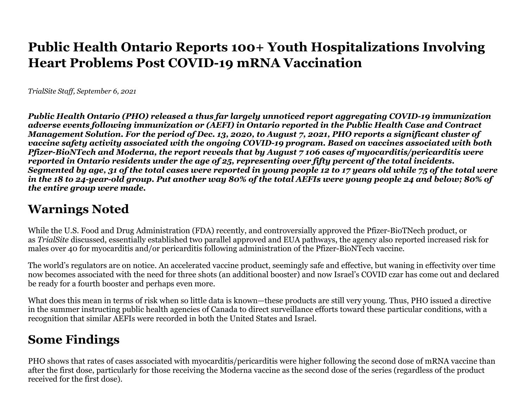## **Public Health Ontario Reports 100+ Youth Hospitalizations InvolvingHeart Problems Post COVID-19 mRNA Vaccination**

*TrialSite Staff, September 6, 2021*

*Public Health Ontario (PHO) released a thus far largely unnoticed report aggregating COVID-19 immunizationadverse events following immunization or (AEFI) in Ontario reported in the Public Health Case and Contract Management Solution. For the period of Dec. 13, 2020, to August 7, 2021, PHO reports a significant cluster of vaccine safety activity associated with the ongoing COVID-19 program. Based on vaccines associated with bothPfizer-BioNTech and Moderna, the report reveals that by August 7 106 cases of myocarditis/pericarditis werereported in Ontario residents under the age of 25, representing over fifty percent of the total incidents. Segmented by age, 31 of the total cases were reported in young people 12 to 17 years old while 75 of the total were in the 18 to 24-year-old group. Put another way 80% of the total AEFIs were young people 24 and below; 80% of the entire group were made.*

## **Warnings Noted**

While the U.S. Food and Drug Administration (FDA) recently, and controversially approved the Pfizer-BioTNech product, or as *TrialSite* discussed, essentially established two parallel approved and EUA pathways, the agency also reported increased risk for males over 40 for myocarditis and/or pericarditis following administration of the Pfizer-BioNTech vaccine.

The world's regulators are on notice. An accelerated vaccine product, seemingly safe and effective, but waning in effectivity over time now becomes associated with the need for three shots (an additional booster) and now Israel's COVID czar has come out and declared be ready for a fourth booster and perhaps even more.

What does this mean in terms of risk when so little data is known—these products are still very young. Thus, PHO issued a directive in the summer instructing public health agencies of Canada to direct surveillance efforts toward these particular conditions, with arecognition that similar AEFIs were recorded in both the United States and Israel.

## **Some Findings**

PHO shows that rates of cases associated with myocarditis/pericarditis were higher following the second dose of mRNA vaccine thanafter the first dose, particularly for those receiving the Moderna vaccine as the second dose of the series (regardless of the product received for the first dose).